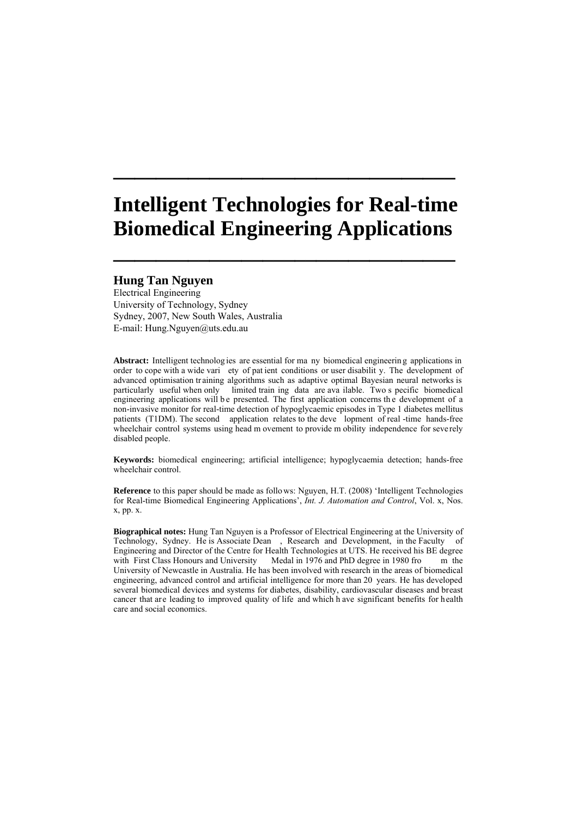# **Intelligent Technologies for Real-time Biomedical Engineering Applications**

**\_\_\_\_\_\_\_\_\_\_\_\_\_\_\_\_\_\_\_\_\_\_\_\_\_\_\_\_\_\_\_\_** 

**\_\_\_\_\_\_\_\_\_\_\_\_\_\_\_\_\_\_\_\_\_\_\_\_\_\_\_\_\_\_\_\_** 

# **Hung Tan Nguyen**

Electrical Engineering University of Technology, Sydney Sydney, 2007, New South Wales, Australia E-mail: Hung.Nguyen@uts.edu.au

**Abstract:** Intelligent technolog ies are essential for ma ny biomedical engineerin g applications in order to cope with a wide vari ety of pat ient conditions or user disabilit y. The development of advanced optimisation tr aining algorithms such as adaptive optimal Bayesian neural networks is particularly useful when only limited train ing data are ava ilable. Two s pecific biomedical engineering applications will be presented. The first application concerns the development of a non-invasive monitor for real-time detection of hypoglycaemic episodes in Type 1 diabetes mellitus patients (T1DM). The second application relates to the deve lopment of real -time hands-free wheelchair control systems using head m ovement to provide m obility independence for severely disabled people.

**Keywords:** biomedical engineering; artificial intelligence; hypoglycaemia detection; hands-free wheelchair control.

**Reference** to this paper should be made as follo ws: Nguyen, H.T. (2008) 'Intelligent Technologies for Real-time Biomedical Engineering Applications', *Int. J. Automation and Control*, Vol. x, Nos. x, pp. x.

**Biographical notes:** Hung Tan Nguyen is a Professor of Electrical Engineering at the University of Technology, Sydney. He is Associate Dean , Research and Development, in the Faculty of Engineering and Director of the Centre for Health Technologies at UTS. He received his BE degree with First Class Honours and University Medal in 1976 and PhD degree in 1980 from the University of Newcastle in Australia. He has been involved with research in the areas of biomedical engineering, advanced control and artificial intelligence for more than 20 years. He has developed several biomedical devices and systems for diabetes, disability, cardiovascular diseases and breast cancer that are leading to improved quality of life and which h ave significant benefits for health care and social economics.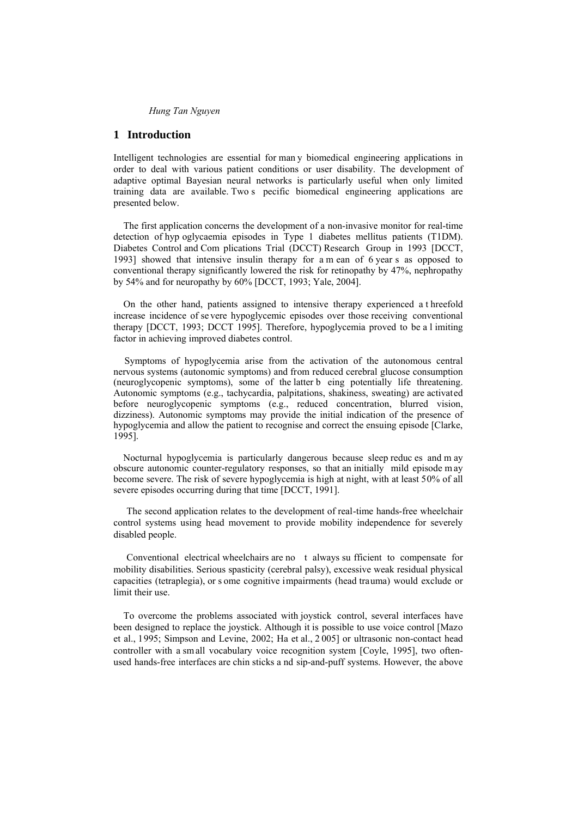# **1 Introduction**

Intelligent technologies are essential for man y biomedical engineering applications in order to deal with various patient conditions or user disability. The development of adaptive optimal Bayesian neural networks is particularly useful when only limited training data are available. Two s pecific biomedical engineering applications are presented below.

The first application concerns the development of a non-invasive monitor for real-time detection of hyp oglycaemia episodes in Type 1 diabetes mellitus patients (T1DM). Diabetes Control and Com plications Trial (DCCT) Research Group in 1993 [DCCT, 1993] showed that intensive insulin therapy for a m ean of 6 year s as opposed to conventional therapy significantly lowered the risk for retinopathy by 47%, nephropathy by 54% and for neuropathy by 60% [DCCT, 1993; Yale, 2004].

On the other hand, patients assigned to intensive therapy experienced a t hreefold increase incidence of se vere hypoglycemic episodes over those receiving conventional therapy [DCCT, 1993; DCCT 1995]. Therefore, hypoglycemia proved to be a l imiting factor in achieving improved diabetes control.

Symptoms of hypoglycemia arise from the activation of the autonomous central nervous systems (autonomic symptoms) and from reduced cerebral glucose consumption (neuroglycopenic symptoms), some of the latter b eing potentially life threatening. Autonomic symptoms (e.g., tachycardia, palpitations, shakiness, sweating) are activated before neuroglycopenic symptoms (e.g., reduced concentration, blurred vision, dizziness). Autonomic symptoms may provide the initial indication of the presence of hypoglycemia and allow the patient to recognise and correct the ensuing episode [Clarke, 1995].

Nocturnal hypoglycemia is particularly dangerous because sleep reduc es and m ay obscure autonomic counter-regulatory responses, so that an initially mild episode m ay become severe. The risk of severe hypoglycemia is high at night, with at least 50% of all severe episodes occurring during that time [DCCT, 1991].

 The second application relates to the development of real-time hands-free wheelchair control systems using head movement to provide mobility independence for severely disabled people.

 Conventional electrical wheelchairs are no t always su fficient to compensate for mobility disabilities. Serious spasticity (cerebral palsy), excessive weak residual physical capacities (tetraplegia), or s ome cognitive impairments (head trauma) would exclude or limit their use.

To overcome the problems associated with joystick control, several interfaces have been designed to replace the joystick. Although it is possible to use voice control [Mazo et al., 1995; Simpson and Levine, 2002; Ha et al., 2 005] or ultrasonic non-contact head controller with a sm all vocabulary voice recognition system [Coyle, 1995], two oftenused hands-free interfaces are chin sticks a nd sip-and-puff systems. However, the above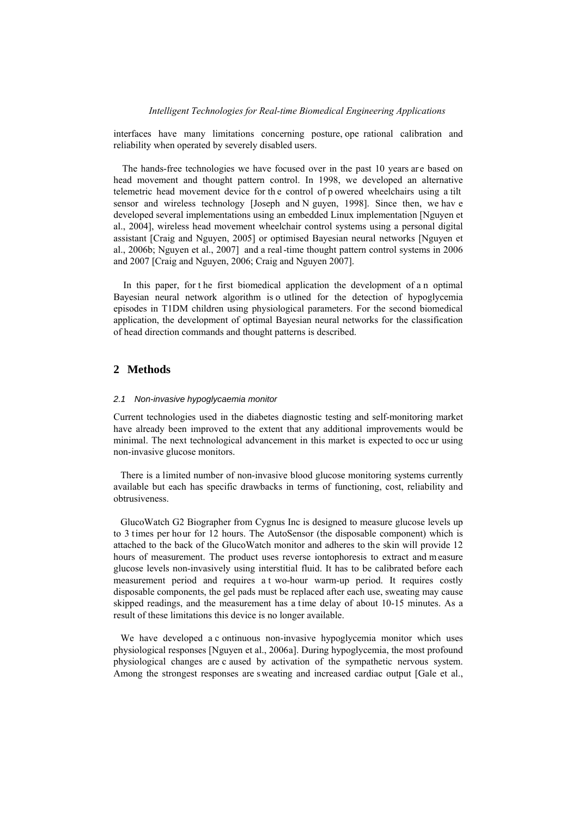interfaces have many limitations concerning posture, ope rational calibration and reliability when operated by severely disabled users.

The hands-free technologies we have focused over in the past 10 years are based on head movement and thought pattern control. In 1998, we developed an alternative telemetric head movement device for th e control of p owered wheelchairs using a tilt sensor and wireless technology [Joseph and N guyen, 1998]. Since then, we hav e developed several implementations using an embedded Linux implementation [Nguyen et al., 2004], wireless head movement wheelchair control systems using a personal digital assistant [Craig and Nguyen, 2005] or optimised Bayesian neural networks [Nguyen et al., 2006b; Nguyen et al., 2007] and a real-time thought pattern control systems in 2006 and 2007 [Craig and Nguyen, 2006; Craig and Nguyen 2007].

In this paper, for t he first biomedical application the development of a n optimal Bayesian neural network algorithm is o utlined for the detection of hypoglycemia episodes in T1DM children using physiological parameters. For the second biomedical application, the development of optimal Bayesian neural networks for the classification of head direction commands and thought patterns is described.

# **2 Methods**

#### *2.1 Non-invasive hypoglycaemia monitor*

Current technologies used in the diabetes diagnostic testing and self-monitoring market have already been improved to the extent that any additional improvements would be minimal. The next technological advancement in this market is expected to occ ur using non-invasive glucose monitors.

There is a limited number of non-invasive blood glucose monitoring systems currently available but each has specific drawbacks in terms of functioning, cost, reliability and obtrusiveness.

GlucoWatch G2 Biographer from Cygnus Inc is designed to measure glucose levels up to 3 times per hour for 12 hours. The AutoSensor (the disposable component) which is attached to the back of the GlucoWatch monitor and adheres to the skin will provide 12 hours of measurement. The product uses reverse iontophoresis to extract and m easure glucose levels non-invasively using interstitial fluid. It has to be calibrated before each measurement period and requires a t wo-hour warm-up period. It requires costly disposable components, the gel pads must be replaced after each use, sweating may cause skipped readings, and the measurement has a time delay of about 10-15 minutes. As a result of these limitations this device is no longer available.

We have developed a c ontinuous non-invasive hypoglycemia monitor which uses physiological responses [Nguyen et al., 2006a]. During hypoglycemia, the most profound physiological changes are c aused by activation of the sympathetic nervous system. Among the strongest responses are s weating and increased cardiac output [Gale et al.,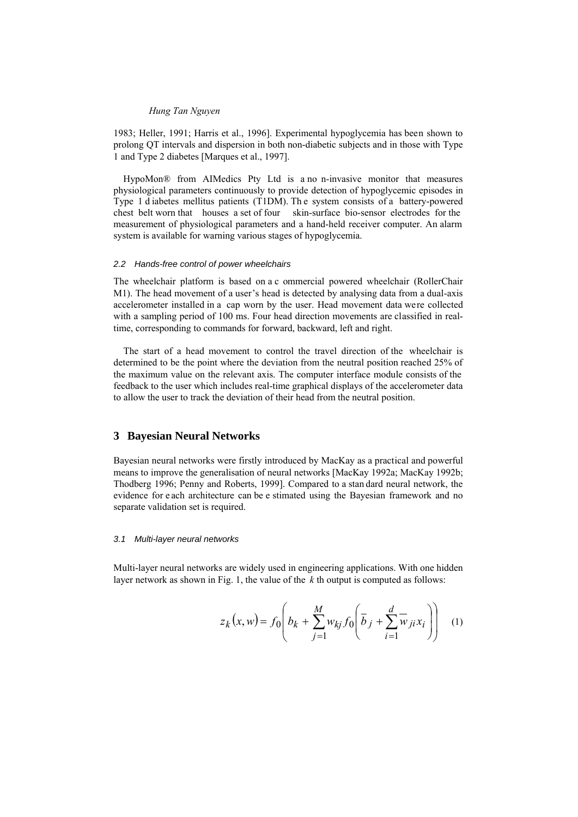1983; Heller, 1991; Harris et al., 1996]. Experimental hypoglycemia has been shown to prolong QT intervals and dispersion in both non-diabetic subjects and in those with Type 1 and Type 2 diabetes [Marques et al., 1997].

HypoMon® from AIMedics Pty Ltd is a no n-invasive monitor that measures physiological parameters continuously to provide detection of hypoglycemic episodes in Type 1 d iabetes mellitus patients (T1DM). Th e system consists of a battery-powered chest belt worn that houses a set of four skin-surface bio-sensor electrodes for the measurement of physiological parameters and a hand-held receiver computer. An alarm system is available for warning various stages of hypoglycemia.

#### *2.2 Hands-free control of power wheelchairs*

The wheelchair platform is based on a c ommercial powered wheelchair (RollerChair M1). The head movement of a user's head is detected by analysing data from a dual-axis accelerometer installed in a cap worn by the user. Head movement data were collected with a sampling period of 100 ms. Four head direction movements are classified in realtime, corresponding to commands for forward, backward, left and right.

The start of a head movement to control the travel direction of the wheelchair is determined to be the point where the deviation from the neutral position reached 25% of the maximum value on the relevant axis. The computer interface module consists of the feedback to the user which includes real-time graphical displays of the accelerometer data to allow the user to track the deviation of their head from the neutral position.

## **3 Bayesian Neural Networks**

Bayesian neural networks were firstly introduced by MacKay as a practical and powerful means to improve the generalisation of neural networks [MacKay 1992a; MacKay 1992b; Thodberg 1996; Penny and Roberts, 1999]. Compared to a stan dard neural network, the evidence for e ach architecture can be e stimated using the Bayesian framework and no separate validation set is required.

## *3.1 Multi-layer neural networks*

Multi-layer neural networks are widely used in engineering applications. With one hidden layer network as shown in Fig. 1, the value of the *k* th output is computed as follows:

$$
z_k(x, w) = f_0 \left( b_k + \sum_{j=1}^{M} w_{kj} f_0 \left( \overline{b}_j + \sum_{i=1}^{d} \overline{w}_{ji} x_i \right) \right) \tag{1}
$$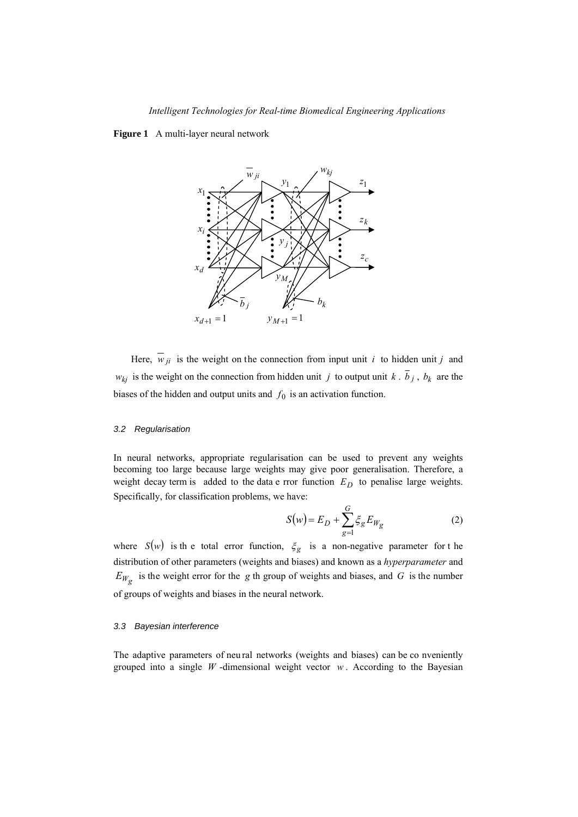**Figure 1** A multi-layer neural network



Here,  $\overline{w}_{ji}$  is the weight on the connection from input unit *i* to hidden unit *j* and  $w_{kj}$  is the weight on the connection from hidden unit *j* to output unit *k* .  $\overline{b}_j$ ,  $b_k$  are the biases of the hidden and output units and  $f_0$  is an activation function.

## *3.2 Regularisation*

In neural networks, appropriate regularisation can be used to prevent any weights becoming too large because large weights may give poor generalisation. Therefore, a weight decay term is added to the data e rror function  $E_D$  to penalise large weights. Specifically, for classification problems, we have:

$$
S(w) = E_D + \sum_{g=1}^{G} \xi_g E_{W_g}
$$
 (2)

where  $S(w)$  is the total error function,  $\xi_g$  is a non-negative parameter for the distribution of other parameters (weights and biases) and known as a *hyperparameter* and  $E_{W_g}$  is the weight error for the *g* th group of weights and biases, and *G* is the number of groups of weights and biases in the neural network.

## *3.3 Bayesian interference*

The adaptive parameters of neu ral networks (weights and biases) can be co nveniently grouped into a single  $W$ -dimensional weight vector  $w$ . According to the Bayesian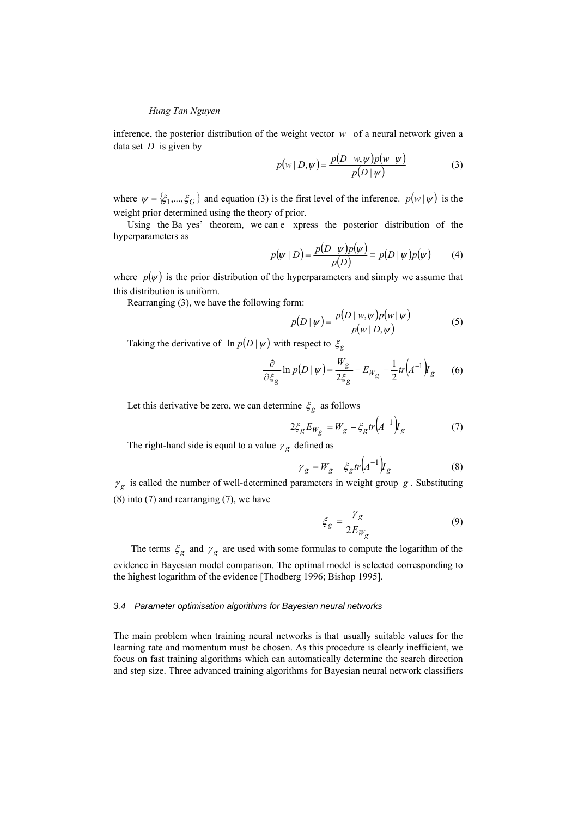inference, the posterior distribution of the weight vector *w* of a neural network given a data set *D* is given by

$$
p(w | D, \psi) = \frac{p(D | w, \psi)p(w | \psi)}{p(D | \psi)}
$$
(3)

where  $\psi = {\xi_1,...,\xi_G}$  and equation (3) is the first level of the inference.  $p(w|\psi)$  is the weight prior determined using the theory of prior.

 Using the Ba yes' theorem, we can e xpress the posterior distribution of the hyperparameters as

$$
p(\psi | D) = \frac{p(D | \psi) p(\psi)}{p(D)} = p(D | \psi) p(\psi) \tag{4}
$$

where  $p(\psi)$  is the prior distribution of the hyperparameters and simply we assume that this distribution is uniform.

Rearranging (3), we have the following form:

$$
p(D \mid \psi) = \frac{p(D \mid w, \psi) p(w \mid \psi)}{p(w \mid D, \psi)} \tag{5}
$$

Taking the derivative of  $\ln p(D|\psi)$  with respect to  $\zeta_g$ 

$$
\frac{\partial}{\partial \xi_g} \ln p(D \mid \psi) = \frac{W_g}{2\xi_g} - E_{W_g} - \frac{1}{2}tr(A^{-1})I_g \tag{6}
$$

Let this derivative be zero, we can determine  $\xi_g$  as follows

$$
2\xi_g E_{W_g} = W_g - \xi_g tr \left( A^{-1} \right) I_g \tag{7}
$$

The right-hand side is equal to a value  $\gamma_g$  defined as

$$
\gamma_g = W_g - \xi_g tr \left( A^{-1} \right) I_g \tag{8}
$$

 $\gamma_g$  is called the number of well-determined parameters in weight group *g*. Substituting (8) into (7) and rearranging (7), we have

$$
\xi_g = \frac{\gamma_g}{2E_{W_g}}\tag{9}
$$

The terms  $\xi_g$  and  $\gamma_g$  are used with some formulas to compute the logarithm of the evidence in Bayesian model comparison. The optimal model is selected corresponding to the highest logarithm of the evidence [Thodberg 1996; Bishop 1995].

#### *3.4 Parameter optimisation algorithms for Bayesian neural networks*

The main problem when training neural networks is that usually suitable values for the learning rate and momentum must be chosen. As this procedure is clearly inefficient, we focus on fast training algorithms which can automatically determine the search direction and step size. Three advanced training algorithms for Bayesian neural network classifiers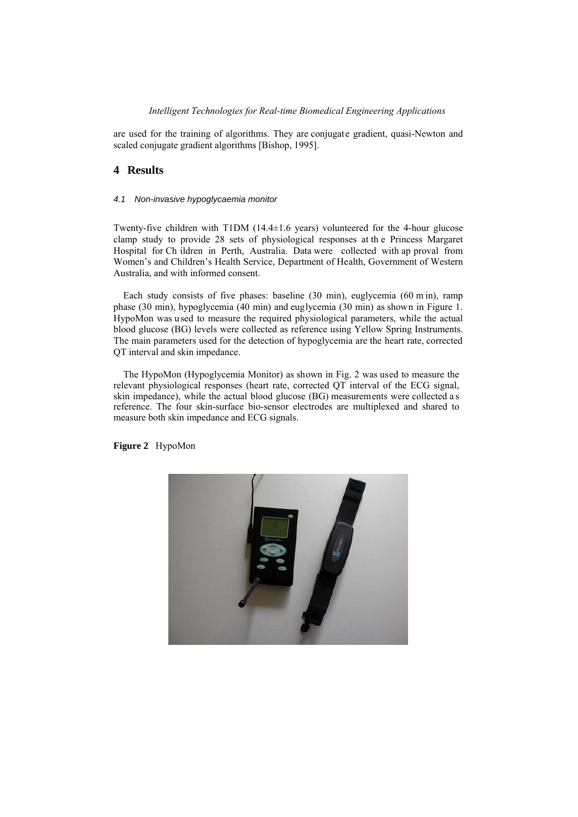## *Intelligent Technologies for Real-time Biomedical Engineering Applications*

are used for the training of algorithms. They are conjugate gradient, quasi-Newton and scaled conjugate gradient algorithms [Bishop, 1995].

# **4 Results**

## *4.1 Non-invasive hypoglycaemia monitor*

Twenty-five children with T1DM (14.4±1.6 years) volunteered for the 4-hour glucose clamp study to provide 28 sets of physiological responses at th e Princess Margaret Hospital for Ch ildren in Perth, Australia. Data were collected with ap proval from Women's and Children's Health Service, Department of Health, Government of Western Australia, and with informed consent.

Each study consists of five phases: baseline (30 min), euglycemia (60 m in), ramp phase (30 min), hypoglycemia (40 min) and euglycemia (30 min) as shown in Figure 1. HypoMon was used to measure the required physiological parameters, while the actual blood glucose (BG) levels were collected as reference using Yellow Spring Instruments. The main parameters used for the detection of hypoglycemia are the heart rate, corrected QT interval and skin impedance.

The HypoMon (Hypoglycemia Monitor) as shown in Fig. 2 was used to measure the relevant physiological responses (heart rate, corrected QT interval of the ECG signal, skin impedance), while the actual blood glucose (BG) measurements were collected a s reference. The four skin-surface bio-sensor electrodes are multiplexed and shared to measure both skin impedance and ECG signals.

**Figure 2** HypoMon

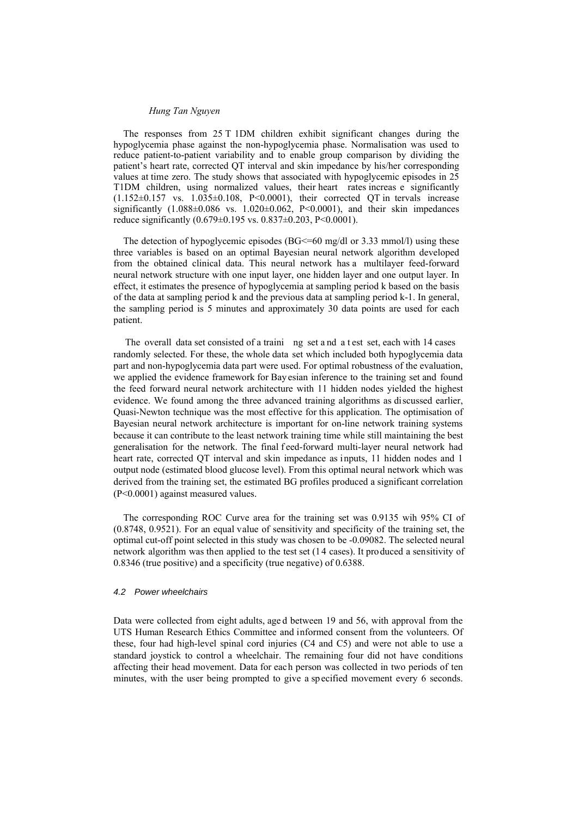The responses from 25 T 1DM children exhibit significant changes during the hypoglycemia phase against the non-hypoglycemia phase. Normalisation was used to reduce patient-to-patient variability and to enable group comparison by dividing the patient's heart rate, corrected QT interval and skin impedance by his/her corresponding values at time zero. The study shows that associated with hypoglycemic episodes in 25 T1DM children, using normalized values, their heart rates increas e significantly  $(1.152\pm0.157 \text{ vs. } 1.035\pm0.108, \text{ P}<0.0001)$ , their corrected QT in tervals increase significantly  $(1.088\pm0.086 \text{ vs. } 1.020\pm0.062, \text{ P}<0.0001)$ , and their skin impedances reduce significantly (0.679±0.195 vs. 0.837±0.203, P<0.0001).

The detection of hypoglycemic episodes (BG $\leq$ =60 mg/dl or 3.33 mmol/l) using these three variables is based on an optimal Bayesian neural network algorithm developed from the obtained clinical data. This neural network has a multilayer feed-forward neural network structure with one input layer, one hidden layer and one output layer. In effect, it estimates the presence of hypoglycemia at sampling period k based on the basis of the data at sampling period k and the previous data at sampling period k-1. In general, the sampling period is 5 minutes and approximately 30 data points are used for each patient.

The overall data set consisted of a traini ng set a nd a t est set, each with 14 cases randomly selected. For these, the whole data set which included both hypoglycemia data part and non-hypoglycemia data part were used. For optimal robustness of the evaluation, we applied the evidence framework for Bay esian inference to the training set and found the feed forward neural network architecture with 11 hidden nodes yielded the highest evidence. We found among the three advanced training algorithms as discussed earlier, Quasi-Newton technique was the most effective for this application. The optimisation of Bayesian neural network architecture is important for on-line network training systems because it can contribute to the least network training time while still maintaining the best generalisation for the network. The final f eed-forward multi-layer neural network had heart rate, corrected QT interval and skin impedance as inputs, 11 hidden nodes and 1 output node (estimated blood glucose level). From this optimal neural network which was derived from the training set, the estimated BG profiles produced a significant correlation (P<0.0001) against measured values.

The corresponding ROC Curve area for the training set was 0.9135 wih 95% CI of (0.8748, 0.9521). For an equal value of sensitivity and specificity of the training set, the optimal cut-off point selected in this study was chosen to be -0.09082. The selected neural network algorithm was then applied to the test set (14 cases). It produced a sensitivity of 0.8346 (true positive) and a specificity (true negative) of 0.6388.

#### *4.2 Power wheelchairs*

Data were collected from eight adults, age d between 19 and 56, with approval from the UTS Human Research Ethics Committee and informed consent from the volunteers. Of these, four had high-level spinal cord injuries (C4 and C5) and were not able to use a standard joystick to control a wheelchair. The remaining four did not have conditions affecting their head movement. Data for each person was collected in two periods of ten minutes, with the user being prompted to give a sp ecified movement every 6 seconds.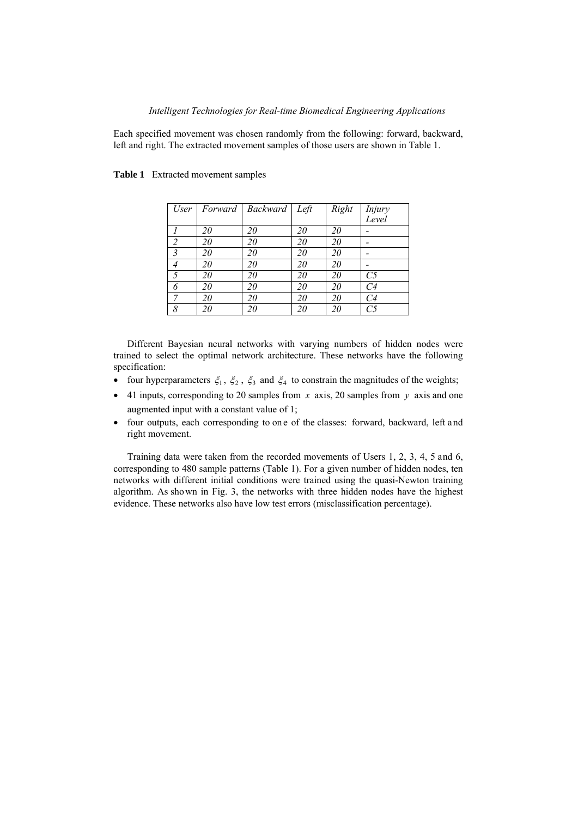## *Intelligent Technologies for Real-time Biomedical Engineering Applications*

Each specified movement was chosen randomly from the following: forward, backward, left and right. The extracted movement samples of those users are shown in Table 1.

| User           | Forward | Backward Left |    | Right | Injury |
|----------------|---------|---------------|----|-------|--------|
|                |         |               |    |       | Level  |
|                | 20      | 20            | 20 | 20    |        |
| $\mathcal{P}$  | 20      | 20            | 20 | 20    |        |
| $\overline{3}$ | 20      | 20            | 20 | 20    |        |
|                | 20      | 20            | 20 | 20    |        |
|                | 20      | 20            | 20 | 20    | C5     |
|                | 20      | 20            | 20 | 20    | C4     |
|                | 20      | 20            | 20 | 20    | C4     |
| 8              | 20      | 20            | 20 | 20    |        |

## **Table 1** Extracted movement samples

Different Bayesian neural networks with varying numbers of hidden nodes were trained to select the optimal network architecture. These networks have the following specification:

- four hyperparameters  $\xi_1$ ,  $\xi_2$ ,  $\xi_3$  and  $\xi_4$  to constrain the magnitudes of the weights;
- 41 inputs, corresponding to 20 samples from *x* axis, 20 samples from *y* axis and one augmented input with a constant value of 1;
- four outputs, each corresponding to on e of the classes: forward, backward, left and right movement.

Training data were taken from the recorded movements of Users 1, 2, 3, 4, 5 and 6, corresponding to 480 sample patterns (Table 1). For a given number of hidden nodes, ten networks with different initial conditions were trained using the quasi-Newton training algorithm. As shown in Fig. 3, the networks with three hidden nodes have the highest evidence. These networks also have low test errors (misclassification percentage).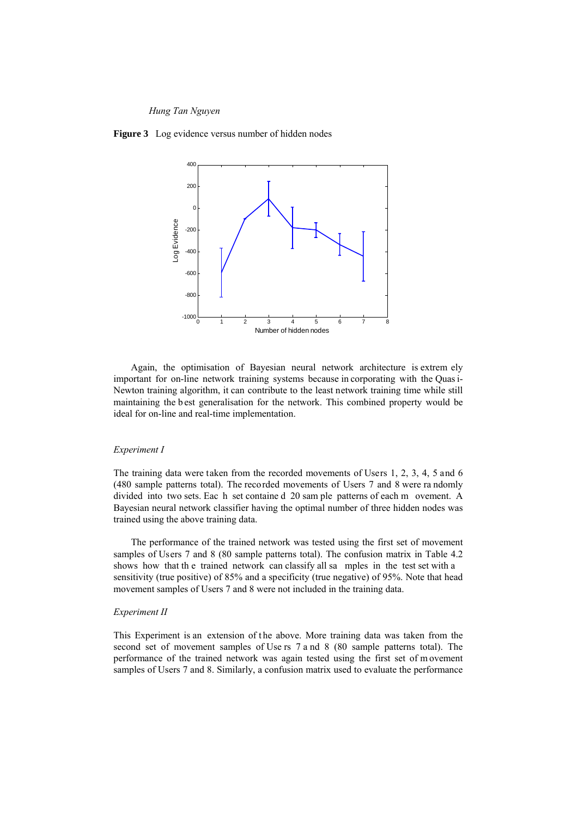**Figure 3** Log evidence versus number of hidden nodes



Again, the optimisation of Bayesian neural network architecture is extrem ely important for on-line network training systems because in corporating with the Quas i-Newton training algorithm, it can contribute to the least network training time while still maintaining the b est generalisation for the network. This combined property would be ideal for on-line and real-time implementation.

## *Experiment I*

The training data were taken from the recorded movements of Users 1, 2, 3, 4, 5 and 6 (480 sample patterns total). The recorded movements of Users 7 and 8 were ra ndomly divided into two sets. Eac h set containe d 20 sam ple patterns of each m ovement. A Bayesian neural network classifier having the optimal number of three hidden nodes was trained using the above training data.

The performance of the trained network was tested using the first set of movement samples of Users 7 and 8 (80 sample patterns total). The confusion matrix in Table 4.2 shows how that th e trained network can classify all sa mples in the test set with a sensitivity (true positive) of 85% and a specificity (true negative) of 95%. Note that head movement samples of Users 7 and 8 were not included in the training data.

#### *Experiment II*

This Experiment is an extension of the above. More training data was taken from the second set of movement samples of Use rs 7 a nd 8 (80 sample patterns total). The performance of the trained network was again tested using the first set of m ovement samples of Users 7 and 8. Similarly, a confusion matrix used to evaluate the performance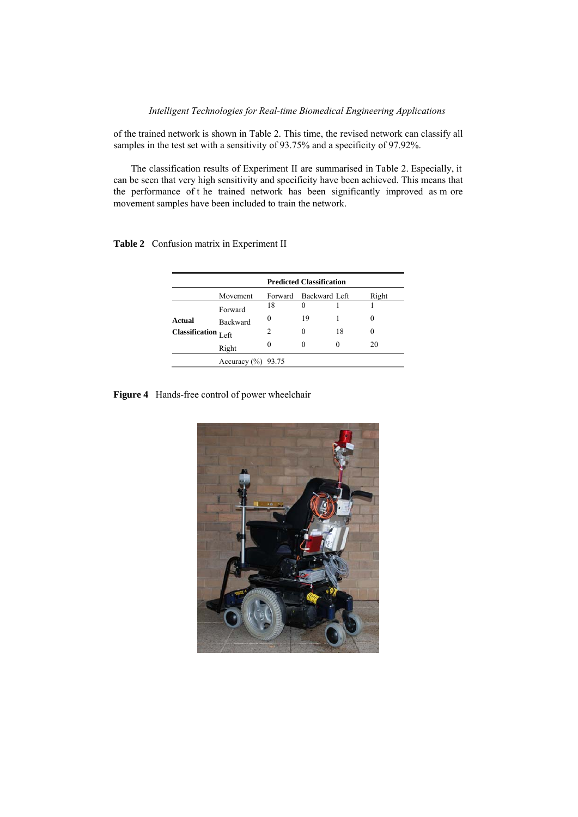of the trained network is shown in Table 2. This time, the revised network can classify all samples in the test set with a sensitivity of 93.75% and a specificity of 97.92%.

The classification results of Experiment II are summarised in Table 2. Especially, it can be seen that very high sensitivity and specificity have been achieved. This means that the performance of t he trained network has been significantly improved as m ore movement samples have been included to train the network.

|                       | <b>Predicted Classification</b> |        |                       |    |          |  |  |  |  |
|-----------------------|---------------------------------|--------|-----------------------|----|----------|--|--|--|--|
|                       | Movement                        |        | Forward Backward Left |    | Right    |  |  |  |  |
|                       | Forward                         | 18     | $\theta$              |    |          |  |  |  |  |
| Actual                | <b>Backward</b>                 | $_{0}$ | 19                    |    | 0        |  |  |  |  |
| Classification $Left$ |                                 |        | 0                     | 18 | $\theta$ |  |  |  |  |
|                       | Right                           |        | $\theta$              |    | 20       |  |  |  |  |
|                       | Accuracy $(\% )$                | 93.75  |                       |    |          |  |  |  |  |

**Table 2** Confusion matrix in Experiment II

**Figure 4** Hands-free control of power wheelchair

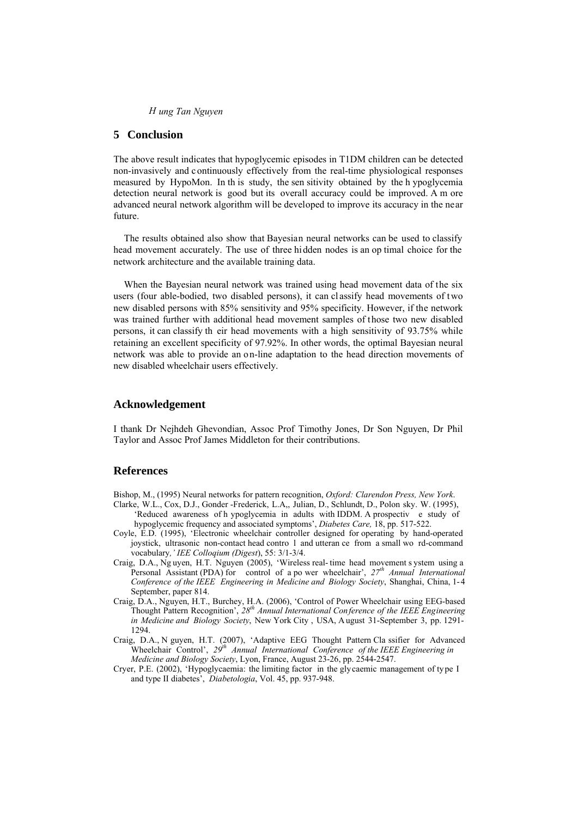# **5 Conclusion**

The above result indicates that hypoglycemic episodes in T1DM children can be detected non-invasively and c ontinuously effectively from the real-time physiological responses measured by HypoMon. In th is study, the sen sitivity obtained by the h ypoglycemia detection neural network is good but its overall accuracy could be improved. A m ore advanced neural network algorithm will be developed to improve its accuracy in the near future.

The results obtained also show that Bayesian neural networks can be used to classify head movement accurately. The use of three hidden nodes is an op timal choice for the network architecture and the available training data.

When the Bayesian neural network was trained using head movement data of the six users (four able-bodied, two disabled persons), it can cl assify head movements of t wo new disabled persons with 85% sensitivity and 95% specificity. However, if the network was trained further with additional head movement samples of those two new disabled persons, it can classify th eir head movements with a high sensitivity of 93.75% while retaining an excellent specificity of 97.92%. In other words, the optimal Bayesian neural network was able to provide an on-line adaptation to the head direction movements of new disabled wheelchair users effectively.

## **Acknowledgement**

I thank Dr Nejhdeh Ghevondian, Assoc Prof Timothy Jones, Dr Son Nguyen, Dr Phil Taylor and Assoc Prof James Middleton for their contributions.

## **References**

- Bishop, M., (1995) Neural networks for pattern recognition, *Oxford: Clarendon Press, New York*.
- Clarke, W.L., Cox, D.J., Gonder -Frederick, L.A,, Julian, D., Schlundt, D., Polon sky. W. (1995), 'Reduced awareness of h ypoglycemia in adults with IDDM. A prospectiv e study of hypoglycemic frequency and associated symptoms', *Diabetes Care,* 18, pp. 517-522.
- Coyle, E.D. (1995), 'Electronic wheelchair controller designed for operating by hand-operated joystick, ultrasonic non-contact head contro l and utteran ce from a small wo rd-command vocabulary*,' IEE Colloqium (Digest*), 55: 3/1-3/4.
- Craig, D.A., Ng uyen, H.T. Nguyen (2005), 'Wireless real- time head movement s ystem using a Personal Assistant (PDA) for control of a po wer wheelchair',  $27<sup>th</sup>$  Annual International *Conference of the IEEE Engineering in Medicine and Biology Society*, Shanghai, China, 1-4 September, paper 814.
- Craig, D.A., Nguyen, H.T., Burchey, H.A. (2006), 'Control of Power Wheelchair using EEG-based Thought Pattern Recognition', *28th Annual International Con ference of the IEEE Engineering in Medicine and Biology Society*, New York City , USA, August 31-September 3, pp. 1291- 1294.
- Craig, D.A., N guyen, H.T. (2007), 'Adaptive EEG Thought Pattern Cla ssifier for Advanced Wheelchair Control', 29<sup>th</sup> Annual International Conference of the IEEE Engineering in *Medicine and Biology Society*, Lyon, France, August 23-26, pp. 2544-2547.
- Cryer, P.E. (2002), 'Hypoglycaemia: the limiting factor in the glycaemic management of type I and type II diabetes', *Diabetologia*, Vol. 45, pp. 937-948.